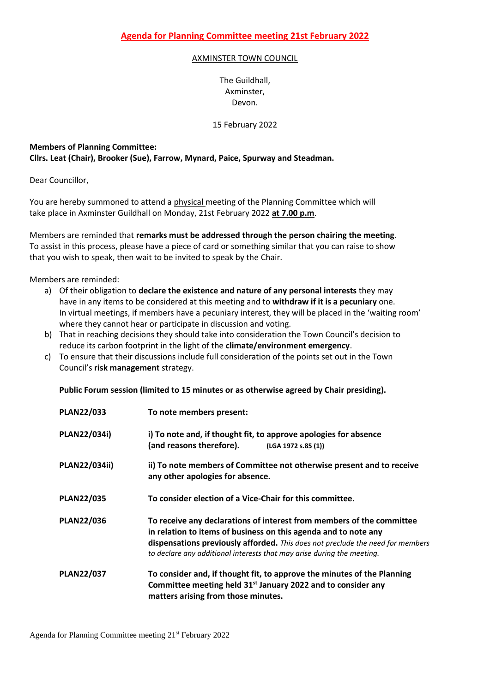## AXMINSTER TOWN COUNCIL

The Guildhall, Axminster, Devon.

15 February 2022

## **Members of Planning Committee: Cllrs. Leat (Chair), Brooker (Sue), Farrow, Mynard, Paice, Spurway and Steadman.**

Dear Councillor,

You are hereby summoned to attend a physical meeting of the Planning Committee which will take place in Axminster Guildhall on Monday, 21st February 2022 **at 7.00 p.m**.

Members are reminded that **remarks must be addressed through the person chairing the meeting**. To assist in this process, please have a piece of card or something similar that you can raise to show that you wish to speak, then wait to be invited to speak by the Chair.

Members are reminded:

- a) Of their obligation to **declare the existence and nature of any personal interests** they may have in any items to be considered at this meeting and to **withdraw if it is a pecuniary** one. In virtual meetings, if members have a pecuniary interest, they will be placed in the 'waiting room' where they cannot hear or participate in discussion and voting.
- b) That in reaching decisions they should take into consideration the Town Council's decision to reduce its carbon footprint in the light of the **climate/environment emergency**.
- c) To ensure that their discussions include full consideration of the points set out in the Town Council's **risk management** strategy.

**Public Forum session (limited to 15 minutes or as otherwise agreed by Chair presiding).**

| <b>PLAN22/033</b> | To note members present:                                                                                                                                                                                                                                                                             |
|-------------------|------------------------------------------------------------------------------------------------------------------------------------------------------------------------------------------------------------------------------------------------------------------------------------------------------|
| PLAN22/034i)      | i) To note and, if thought fit, to approve apologies for absence<br>(and reasons therefore).<br>(LGA 1972 s.85 (1))                                                                                                                                                                                  |
| PLAN22/034ii)     | ii) To note members of Committee not otherwise present and to receive<br>any other apologies for absence.                                                                                                                                                                                            |
| <b>PLAN22/035</b> | To consider election of a Vice-Chair for this committee.                                                                                                                                                                                                                                             |
| <b>PLAN22/036</b> | To receive any declarations of interest from members of the committee<br>in relation to items of business on this agenda and to note any<br>dispensations previously afforded. This does not preclude the need for members<br>to declare any additional interests that may arise during the meeting. |
| <b>PLAN22/037</b> | To consider and, if thought fit, to approve the minutes of the Planning<br>Committee meeting held 31 <sup>st</sup> January 2022 and to consider any<br>matters arising from those minutes.                                                                                                           |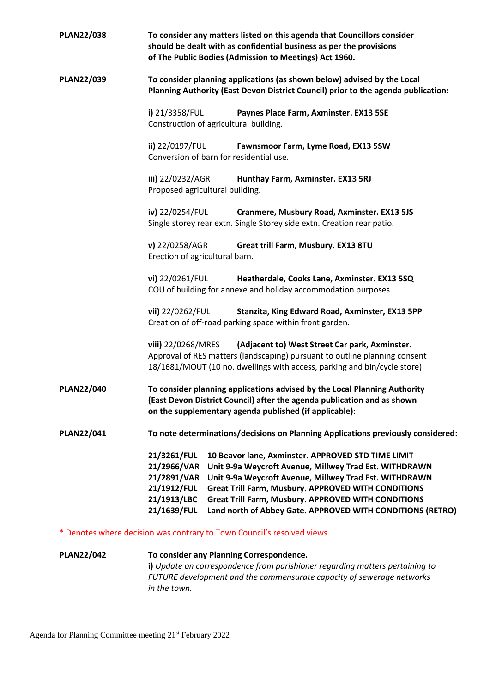| <b>PLAN22/038</b> | To consider any matters listed on this agenda that Councillors consider<br>should be dealt with as confidential business as per the provisions<br>of The Public Bodies (Admission to Meetings) Act 1960.                                                                                                                                                                                                                                            |
|-------------------|-----------------------------------------------------------------------------------------------------------------------------------------------------------------------------------------------------------------------------------------------------------------------------------------------------------------------------------------------------------------------------------------------------------------------------------------------------|
| <b>PLAN22/039</b> | To consider planning applications (as shown below) advised by the Local<br>Planning Authority (East Devon District Council) prior to the agenda publication:                                                                                                                                                                                                                                                                                        |
|                   | i) 21/3358/FUL<br>Paynes Place Farm, Axminster. EX13 5SE<br>Construction of agricultural building.                                                                                                                                                                                                                                                                                                                                                  |
|                   | ii) 22/0197/FUL<br>Fawnsmoor Farm, Lyme Road, EX13 5SW<br>Conversion of barn for residential use.                                                                                                                                                                                                                                                                                                                                                   |
|                   | iii) 22/0232/AGR<br>Hunthay Farm, Axminster. EX13 5RJ<br>Proposed agricultural building.                                                                                                                                                                                                                                                                                                                                                            |
|                   | iv) 22/0254/FUL<br>Cranmere, Musbury Road, Axminster. EX13 5JS<br>Single storey rear extn. Single Storey side extn. Creation rear patio.                                                                                                                                                                                                                                                                                                            |
|                   | $v)$ 22/0258/AGR<br>Great trill Farm, Musbury. EX13 8TU<br>Erection of agricultural barn.                                                                                                                                                                                                                                                                                                                                                           |
|                   | vi) 22/0261/FUL<br>Heatherdale, Cooks Lane, Axminster. EX13 5SQ<br>COU of building for annexe and holiday accommodation purposes.                                                                                                                                                                                                                                                                                                                   |
|                   | vii) 22/0262/FUL<br>Stanzita, King Edward Road, Axminster, EX13 5PP<br>Creation of off-road parking space within front garden.                                                                                                                                                                                                                                                                                                                      |
|                   | viii) 22/0268/MRES<br>(Adjacent to) West Street Car park, Axminster.<br>Approval of RES matters (landscaping) pursuant to outline planning consent<br>18/1681/MOUT (10 no. dwellings with access, parking and bin/cycle store)                                                                                                                                                                                                                      |
| <b>PLAN22/040</b> | To consider planning applications advised by the Local Planning Authority<br>(East Devon District Council) after the agenda publication and as shown<br>on the supplementary agenda published (if applicable):                                                                                                                                                                                                                                      |
| <b>PLAN22/041</b> | To note determinations/decisions on Planning Applications previously considered:                                                                                                                                                                                                                                                                                                                                                                    |
|                   | 21/3261/FUL<br>10 Beavor lane, Axminster. APPROVED STD TIME LIMIT<br>21/2966/VAR<br>Unit 9-9a Weycroft Avenue, Millwey Trad Est. WITHDRAWN<br>Unit 9-9a Weycroft Avenue, Millwey Trad Est. WITHDRAWN<br>21/2891/VAR<br>Great Trill Farm, Musbury. APPROVED WITH CONDITIONS<br>21/1912/FUL<br>21/1913/LBC<br><b>Great Trill Farm, Musbury. APPROVED WITH CONDITIONS</b><br>21/1639/FUL<br>Land north of Abbey Gate. APPROVED WITH CONDITIONS (RETRO) |
|                   | * Denotes where decision was contrary to Town Council's resolved views.                                                                                                                                                                                                                                                                                                                                                                             |
| <b>PLAN22/042</b> | To consider any Planning Correspondence.                                                                                                                                                                                                                                                                                                                                                                                                            |

**i)** *Update on correspondence from parishioner regarding matters pertaining to FUTURE development and the commensurate capacity of sewerage networks in the town.*